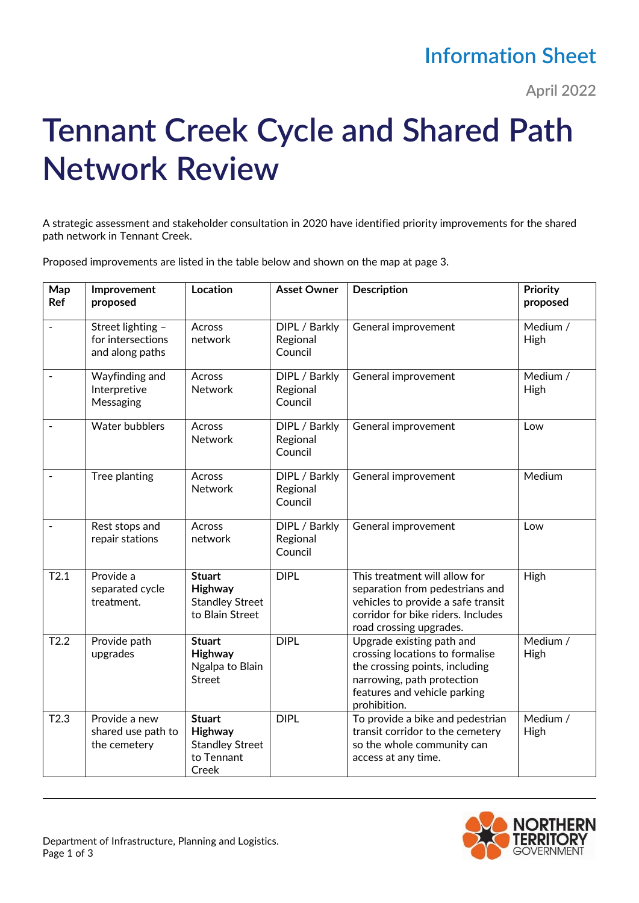## **Information Sheet**

**April 2022**

## **Tennant Creek Cycle and Shared Path Network Review**

A strategic assessment and stakeholder consultation in 2020 have identified priority improvements for the shared path network in Tennant Creek.

Proposed improvements are listed in the table below and shown on the map at page 3.

| Map<br>Ref               | Improvement<br>proposed                                   | Location                                                                  | <b>Asset Owner</b>                   | Description                                                                                                                                                                  | Priority<br>proposed |
|--------------------------|-----------------------------------------------------------|---------------------------------------------------------------------------|--------------------------------------|------------------------------------------------------------------------------------------------------------------------------------------------------------------------------|----------------------|
|                          | Street lighting -<br>for intersections<br>and along paths | Across<br>network                                                         | DIPL / Barkly<br>Regional<br>Council | General improvement                                                                                                                                                          | Medium /<br>High     |
|                          | Wayfinding and<br>Interpretive<br>Messaging               | Across<br><b>Network</b>                                                  | DIPL / Barkly<br>Regional<br>Council | General improvement                                                                                                                                                          | Medium /<br>High     |
|                          | <b>Water bubblers</b>                                     | Across<br><b>Network</b>                                                  | DIPL / Barkly<br>Regional<br>Council | General improvement                                                                                                                                                          | Low                  |
| $\overline{\phantom{a}}$ | Tree planting                                             | Across<br><b>Network</b>                                                  | DIPL / Barkly<br>Regional<br>Council | General improvement                                                                                                                                                          | Medium               |
|                          | Rest stops and<br>repair stations                         | Across<br>network                                                         | DIPL / Barkly<br>Regional<br>Council | General improvement                                                                                                                                                          | Low                  |
| T2.1                     | Provide a<br>separated cycle<br>treatment.                | <b>Stuart</b><br>Highway<br><b>Standley Street</b><br>to Blain Street     | <b>DIPL</b>                          | This treatment will allow for<br>separation from pedestrians and<br>vehicles to provide a safe transit<br>corridor for bike riders. Includes<br>road crossing upgrades.      | High                 |
| T2.2                     | Provide path<br>upgrades                                  | <b>Stuart</b><br>Highway<br>Ngalpa to Blain<br><b>Street</b>              | <b>DIPL</b>                          | Upgrade existing path and<br>crossing locations to formalise<br>the crossing points, including<br>narrowing, path protection<br>features and vehicle parking<br>prohibition. | Medium /<br>High     |
| T2.3                     | Provide a new<br>shared use path to<br>the cemetery       | <b>Stuart</b><br>Highway<br><b>Standley Street</b><br>to Tennant<br>Creek | <b>DIPL</b>                          | To provide a bike and pedestrian<br>transit corridor to the cemetery<br>so the whole community can<br>access at any time.                                                    | Medium /<br>High     |

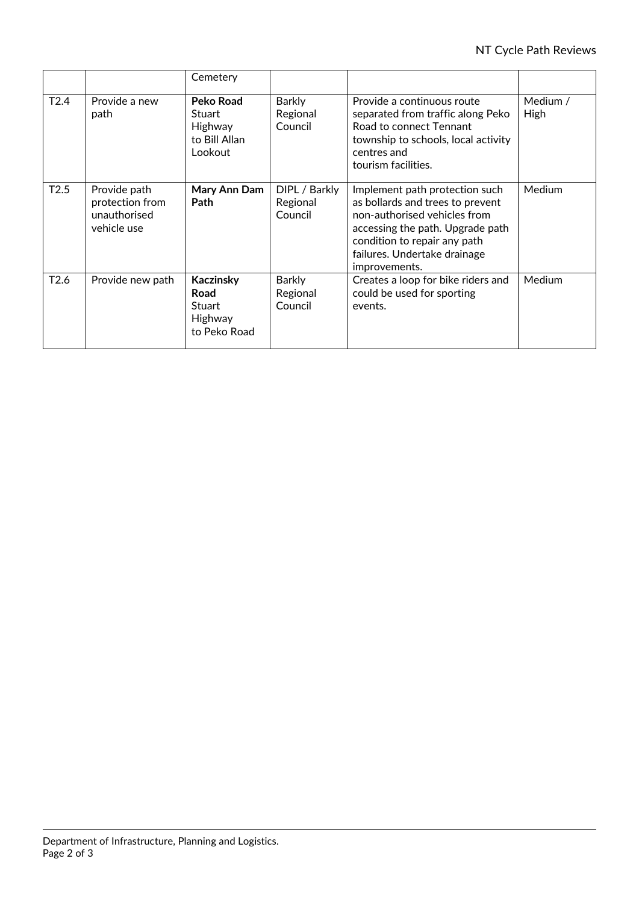|                  |                                                                | Cemetery                                                             |                                      |                                                                                                                                                                                                                         |                         |
|------------------|----------------------------------------------------------------|----------------------------------------------------------------------|--------------------------------------|-------------------------------------------------------------------------------------------------------------------------------------------------------------------------------------------------------------------------|-------------------------|
| T <sub>2.4</sub> | Provide a new<br>path                                          | Peko Road<br>Stuart<br>Highway<br>to Bill Allan<br>Lookout           | <b>Barkly</b><br>Regional<br>Council | Provide a continuous route<br>separated from traffic along Peko<br>Road to connect Tennant<br>township to schools, local activity<br>centres and<br>tourism facilities.                                                 | Medium /<br><b>High</b> |
| T2.5             | Provide path<br>protection from<br>unauthorised<br>vehicle use | Mary Ann Dam<br>Path                                                 | DIPL / Barkly<br>Regional<br>Council | Implement path protection such<br>as bollards and trees to prevent<br>non-authorised vehicles from<br>accessing the path. Upgrade path<br>condition to repair any path<br>failures. Undertake drainage<br>improvements. | Medium                  |
| T <sub>2.6</sub> | Provide new path                                               | Kaczinsky<br>Road<br><b>Stuart</b><br><b>Highway</b><br>to Peko Road | <b>Barkly</b><br>Regional<br>Council | Creates a loop for bike riders and<br>could be used for sporting<br>events.                                                                                                                                             | Medium                  |